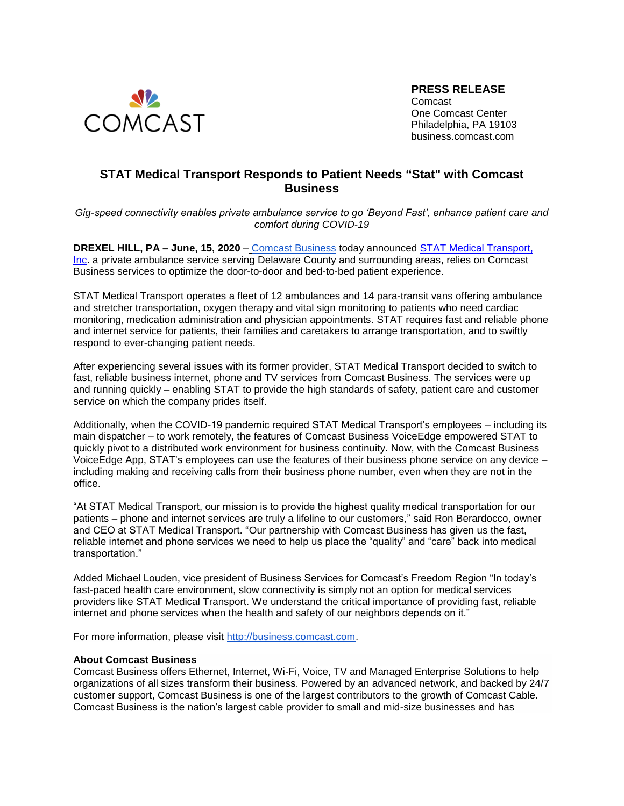

**PRESS RELEASE**

Comcast One Comcast Center Philadelphia, PA 19103 business.comcast.com

## **STAT Medical Transport Responds to Patient Needs "Stat" with Comcast Business**

*Gig-speed connectivity enables private ambulance service to go 'Beyond Fast', enhance patient care and comfort during COVID-19*

**DREXEL HILL, PA – June, 15, 2020** [–](https://business.comcast.com/) [Comcast Business](https://business.comcast.com/) today announced [STAT Medical Transport,](http://statmedicaltransport.com/)  [Inc.](http://statmedicaltransport.com/) a private ambulance service serving Delaware County and surrounding areas, relies on Comcast Business services to optimize the door-to-door and bed-to-bed patient experience.

STAT Medical Transport operates a fleet of 12 ambulances and 14 para-transit vans offering ambulance and stretcher transportation, oxygen therapy and vital sign monitoring to patients who need cardiac monitoring, medication administration and physician appointments. STAT requires fast and reliable phone and internet service for patients, their families and caretakers to arrange transportation, and to swiftly respond to ever-changing patient needs.

After experiencing several issues with its former provider, STAT Medical Transport decided to switch to fast, reliable business internet, phone and TV services from Comcast Business. The services were up and running quickly – enabling STAT to provide the high standards of safety, patient care and customer service on which the company prides itself.

Additionally, when the COVID-19 pandemic required STAT Medical Transport's employees – including its main dispatcher – to work remotely, the features of Comcast Business VoiceEdge empowered STAT to quickly pivot to a distributed work environment for business continuity. Now, with the Comcast Business VoiceEdge App, STAT's employees can use the features of their business phone service on any device – including making and receiving calls from their business phone number, even when they are not in the office.

"At STAT Medical Transport, our mission is to provide the highest quality medical transportation for our patients – phone and internet services are truly a lifeline to our customers," said Ron Berardocco, owner and CEO at STAT Medical Transport. "Our partnership with Comcast Business has given us the fast, reliable internet and phone services we need to help us place the "quality" and "care" back into medical transportation."

Added Michael Louden, vice president of Business Services for Comcast's Freedom Region "In today's fast-paced health care environment, slow connectivity is simply not an option for medical services providers like STAT Medical Transport. We understand the critical importance of providing fast, reliable internet and phone services when the health and safety of our neighbors depends on it."

For more information, please visit [http://business.comcast.com.](http://business.comcast.com/)

## **About Comcast Business**

Comcast Business offers Ethernet, Internet, Wi-Fi, Voice, TV and Managed Enterprise Solutions to help organizations of all sizes transform their business. Powered by an advanced network, and backed by 24/7 customer support, Comcast Business is one of the largest contributors to the growth of Comcast Cable. Comcast Business is the nation's largest cable provider to small and mid-size businesses and has